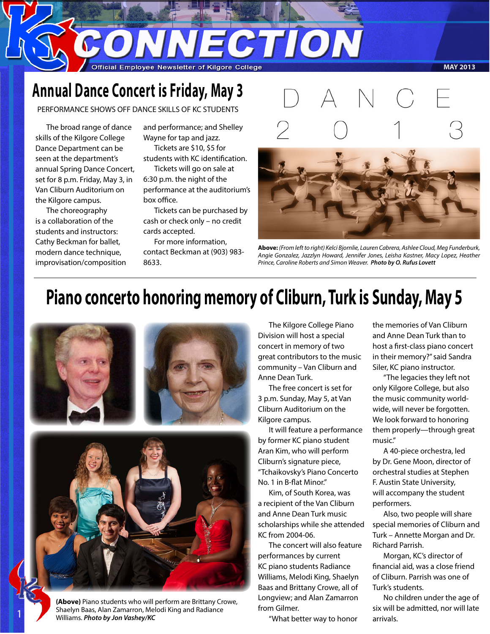CONNECTION

#### Official Employee Newsletter of Kilgore College

#### **MAY 2013**

# **Annual Dance Concert is Friday, May 3**

PERFORMANCE SHOWS OFF DANCE SKILLS OF KC STUDENTS

The broad range of dance skills of the Kilgore College Dance Department can be seen at the department's annual Spring Dance Concert, set for 8 p.m. Friday, May 3, in Van Cliburn Auditorium on the Kilgore campus.

The choreography is a collaboration of the students and instructors: Cathy Beckman for ballet, modern dance technique, improvisation/composition and performance; and Shelley Wayne for tap and jazz. Tickets are \$10, \$5 for

students with KC identification. Tickets will go on sale at

6:30 p.m. the night of the performance at the auditorium's box office.

Tickets can be purchased by cash or check only – no credit cards accepted.

For more information, contact Beckman at (903) 983- 8633.



**Above:** *(From left to right) Kelci Bjornlie, Lauren Cabrera, Ashlee Cloud, Meg Funderburk, Angie Gonzalez, Jazzlyn Howard, Jennifer Jones, Leisha Kastner, Macy Lopez, Heather Prince, Caroline Roberts and Simon Weaver. Photo by O. Rufus Lovett*

# **Piano concerto honoring memory of Cliburn, Turk is Sunday, May 5**





**(Above)** Piano students who will perform are Brittany Crowe, Shaelyn Baas, Alan Zamarron, Melodi King and Radiance Williams. *Photo by Jon Vashey/KC*

1

The Kilgore College Piano Division will host a special concert in memory of two great contributors to the music community – Van Cliburn and Anne Dean Turk.

The free concert is set for 3 p.m. Sunday, May 5, at Van Cliburn Auditorium on the Kilgore campus.

It will feature a performance by former KC piano student Aran Kim, who will perform Cliburn's signature piece, "Tchaikovsky's Piano Concerto No. 1 in B-flat Minor."

Kim, of South Korea, was a recipient of the Van Cliburn and Anne Dean Turk music scholarships while she attended KC from 2004-06.

The concert will also feature performances by current KC piano students Radiance Williams, Melodi King, Shaelyn Baas and Brittany Crowe, all of Longview; and Alan Zamarron from Gilmer.

"What better way to honor

the memories of Van Cliburn and Anne Dean Turk than to host a first-class piano concert in their memory?" said Sandra Siler, KC piano instructor.

"The legacies they left not only Kilgore College, but also the music community worldwide, will never be forgotten. We look forward to honoring them properly—through great music."

A 40-piece orchestra, led by Dr. Gene Moon, director of orchestral studies at Stephen F. Austin State University, will accompany the student performers.

Also, two people will share special memories of Cliburn and Turk – Annette Morgan and Dr. Richard Parrish.

Morgan, KC's director of financial aid, was a close friend of Cliburn. Parrish was one of Turk's students.

No children under the age of six will be admitted, nor will late arrivals.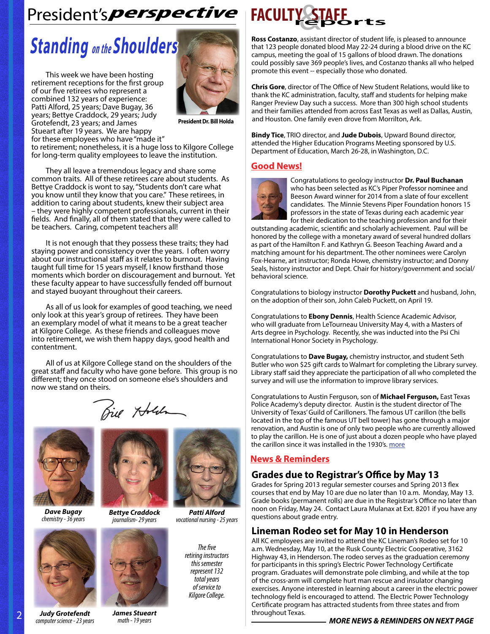# President's perspective **FACULTY STAFE**

# **Standing** *on the* **Shoulders**

This week we have been hosting retirement receptions for the first group of our five retirees who represent a combined 132 years of experience: Patti Alford, 25 years; Dave Bugay, 36 years; Bettye Craddock, 29 years; Judy Grotefendt, 23 years; and James Stueart after 19 years. We are happy for these employees who have "made it"



**President Dr. Bill Holda**

to retirement; nonetheless, it is a huge loss to Kilgore College for long-term quality employees to leave the institution.

They all leave a tremendous legacy and share some common traits. All of these retirees care about students. As Bettye Craddock is wont to say, "Students don't care what you know until they know that you care." These retirees, in addition to caring about students, knew their subject area – they were highly competent professionals, current in their fields. And finally, all of them stated that they were called to be teachers. Caring, competent teachers all!

It is not enough that they possess these traits; they had staying power and consistency over the years. I often worry about our instructional staff as it relates to burnout. Having taught full time for 15 years myself, I know firsthand those moments which border on discouragement and burnout. Yet these faculty appear to have successfully fended off burnout and stayed buoyant throughout their careers.

As all of us look for examples of good teaching, we need only look at this year's group of retirees. They have been an exemplary model of what it means to be a great teacher at Kilgore College. As these friends and colleagues move into retirement, we wish them happy days, good health and contentment.

All of us at Kilgore College stand on the shoulders of the great staff and faculty who have gone before. This group is no different; they once stood on someone else's shoulders and now we stand on theirs.

Biel Holden



*Dave Bugay chemistry - 36 years*





*Bettye Craddock journalism- 29 years*



*James Stueart math - 19 years*

*Patti Alford vocational nursing - 25 years*

*The five retiring instructors this semester represent 132 total years of service to Kilgore College.*



**Ross Costanzo**, assistant director of student life, is pleased to announce that 123 people donated blood May 22-24 during a blood drive on the KC campus, meeting the goal of 15 gallons of blood drawn. The donations could possibly save 369 people's lives, and Costanzo thanks all who helped promote this event -- especially those who donated.

**Chris Gore**, director of The Office of New Student Relations, would like to thank the KC administration, faculty, staff and students for helping make Ranger Preview Day such a success. More than 300 high school students and their families attended from across East Texas as well as Dallas, Austin, and Houston. One family even drove from Morrilton, Ark.

**Bindy Tice**, TRIO director, and **Jude Dubois**, Upward Bound director, attended the Higher Education Programs Meeting sponsored by U.S. Department of Education, March 26-28, in Washington, D.C.

#### **Good News!**



Congratulations to geology instructor **Dr. Paul Buchanan**  who has been selected as KC's Piper Professor nominee and Beeson Award winner for 2014 from a slate of four excellent candidates. The Minnie Stevens Piper Foundation honors 15 professors in the state of Texas during each academic year for their dedication to the teaching profession and for their

outstanding academic, scientific and scholarly achievement. Paul will be honored by the college with a monetary award of several hundred dollars as part of the Hamilton F. and Kathryn G. Beeson Teaching Award and a matching amount for his department. The other nominees were Carolyn Fox-Hearne, art instructor; Ronda Howe, chemistry instructor; and Donny Seals, history instructor and Dept. Chair for history/government and social/ behavioral science.

Congratulations to biology instructor **Dorothy Puckett** and husband, John, on the adoption of their son, John Caleb Puckett, on April 19.

Congratulations to **Ebony Dennis**, Health Science Academic Advisor, who will graduate from LeTourneau University May 4, with a Masters of Arts degree in Psychology. Recently, she was inducted into the Psi Chi International Honor Society in Psychology.

Congratulations to **Dave Bugay,** chemistry instructor, and student Seth Butler who won \$25 gift cards to Walmart for completing the Library survey. Library staff said they appreciate the participation of all who completed the survey and will use the information to improve library services.

Congratulations to Austin Ferguson, son of **Michael Ferguson,** East Texas Police Academy's deputy director. Austin is the student director of The University of Texas' Guild of Carilloners. The famous UT carillon (the bells located in the top of the famous UT bell tower) has gone through a major renovation, and Austin is one of only two people who are currently allowed to play the carillon. He is one of just about a dozen people who have played the carillon since it was installed in the 1930's. [more](http://kutnews.org/post/after-months-silence-ut-tower-rings-again)

#### **News & Reminders**

#### **Grades due to Registrar's Office by May 13**

Grades for Spring 2013 regular semester courses and Spring 2013 flex courses that end by May 10 are due no later than 10 a.m. Monday, May 13. Grade books (permanent rolls) are due in the Registrar's Office no later than noon on Friday, May 24. Contact Laura Mulanax at Ext. 8201 if you have any questions about grade entry.

### **Lineman Rodeo set for May 10 in Henderson**

All KC employees are invited to attend the KC Lineman's Rodeo set for 10 a.m. Wednesday, May 10, at the Rusk County Electric Cooperative, 3162 Highway 43, in Henderson. The rodeo serves as the graduation ceremony for participants in this spring's Electric Power Technology Certificate program. Graduates will demonstrate pole climbing, and while at the top of the cross-arm will complete hurt man rescue and insulator changing exercises. Anyone interested in learning about a career in the electric power technology field is encouraged to attend. The Electric Power Technology Certificate program has attracted students from three states and from throughout Texas.

2 *Judy Grotefendt computer science - 23 years*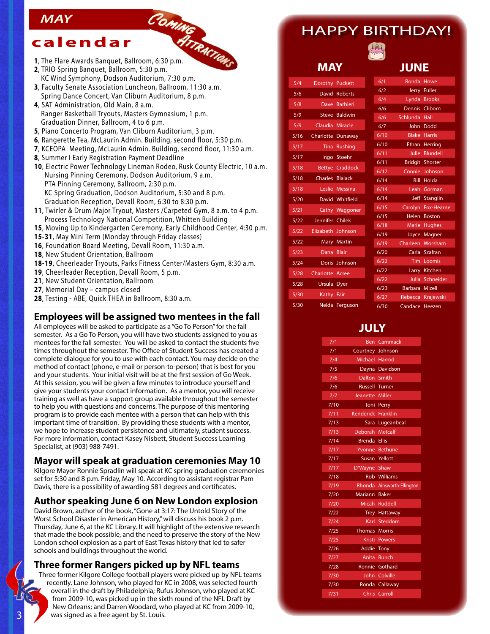### *MAY*

## **calendar**

- MAY<br>
Calendar *HireAwards Banquet, Ballroom, 6:30 p.m.*<br>
1, The Flare Awards Banquet, Ballroom, 6:30 p.m.
- 
- **2**, TRIO Spring Banquet, Ballroom, 5:30 p.m. KC Wind Symphony, Dodson Auditorium, 7:30 p.m.
- **3**, Faculty Senate Association Luncheon, Ballroom, 11:30 a.m. Spring Dance Concert, Van Cliburn Auditorium, 8 p.m.
- **4**, SAT Administration, Old Main, 8 a.m. Ranger Basketball Tryouts, Masters Gymnasium, 1 p.m. Graduation Dinner, Ballroom, 4 to 6 p.m.
- **5**, Piano Concerto Program, Van Cliburn Auditorium, 3 p.m.
- **6**, Rangerette Tea, McLaurin Admin. Building, second floor, 5:30 p.m.
- **7**, KCEOPA Meeting, McLaurin Admin. Building, second floor, 11:30 a.m.
- **8**, Summer I Early Registration Payment Deadline
- **10**, Electric Power Technology Lineman Rodeo, Rusk County Electric, 10 a.m. Nursing Pinning Ceremony, Dodson Auditorium, 9 a.m. PTA Pinning Ceremony, Ballroom, 2:30 p.m. KC Spring Graduation, Dodson Auditorium, 5:30 and 8 p.m. Graduation Reception, Devall Room, 6:30 to 8:30 p.m.
- **11**, Twirler & Drum Major Tryout, Masters /Carpeted Gym, 8 a.m. to 4 p.m. Process Technology National Competition, Whitten Building
- **15**, Moving Up to Kindergarten Ceremony, Early Childhood Center, 4:30 p.m.
- **15-31**, May Mini Term (Monday through Friday classes)
- **16**, Foundation Board Meeting, Devall Room, 11:30 a.m.
- **18**, New Student Orientation, Ballroom
- **18-19**, Cheerleader Tryouts, Parks Fitness Center/Masters Gym, 8:30 a.m.
- **19**, Cheerleader Reception, Devall Room, 5 p.m.
- **21**, New Student Orientation, Ballroom
- **27**, Memorial Day campus closed
- **28**, Testing ABE, Quick THEA in Ballroom, 8:30 a.m.

#### **Employees will be assigned two mentees in the fall**

All employees will be asked to participate as a "Go To Person" for the fall semester. As a Go To Person, you will have two students assigned to you as mentees for the fall semester. You will be asked to contact the students five times throughout the semester. The Office of Student Success has created a complete dialogue for you to use with each contact. You may decide on the method of contact (phone, e-mail or person-to-person) that is best for you and your students. Your initial visit will be at the first session of Go Week. At this session, you will be given a few minutes to introduce yourself and give your students your contact information. As a mentor, you will receive training as well as have a support group available throughout the semester to help you with questions and concerns. The purpose of this mentoring program is to provide each mentee with a person that can help with this important time of transition. By providing these students with a mentor, we hope to increase student persistence and ultimately, student success. For more information, contact Kasey Nisbett, Student Success Learning Specialist, at (903) 988-7491.

#### **Mayor will speak at graduation ceremonies May 10**

Kilgore Mayor Ronnie Spradlin will speak at KC spring graduation ceremonies set for 5:30 and 8 p.m. Friday, May 10. According to assistant registrar Pam Davis, there is a possibility of awarding 581 degrees and certificates.

#### **Author speaking June 6 on New London explosion**

David Brown, author of the book, "Gone at 3:17: The Untold Story of the Worst School Disaster in American History," will discuss his book 2 p.m. Thursday, June 6, at the KC Library. It will highlight of the extensive research that made the book possible, and the need to preserve the story of the New London school explosion as a part of East Texas history that led to safer schools and buildings throughout the world.

#### **Three former Rangers picked up by NFL teams**

Three former Kilgore College football players were picked up by NFL teams recently. Lane Johnson, who played for KC in 2008, was selected fourth overall in the draft by Philadelphia; Rufus Johnson, who played at KC from 2009-10, was picked up in the sixth round of the NFL Draft by New Orleans; and Darren Woodard, who played at KC from 2009-10, was signed as a free agent by St. Louis.

## HAPPY BIRTHDAY!



#### **MAY**

| 5/4               | <b>Dorothy</b>    | Puckett           | 6/1          |
|-------------------|-------------------|-------------------|--------------|
| 5/6               | David             | <b>Roberts</b>    | 6/2          |
| 5/8               |                   | Dave Barbieri     | 6/4          |
|                   |                   |                   | 6/6          |
| 5/9               |                   | Steve Baldwin     | 6/6          |
| 5/9               | Claudia           | <b>Miracle</b>    | 6/7          |
| 5/16              |                   | Charlotte Dunaway | 6/10         |
| 5/17              | Tina I            | Rushing           | 6/10         |
| 5/17              | Ingo              | Stoehr            | 6/11         |
| 5/18              |                   | Bettye Craddock   | 6/11         |
| 5/18              | Charles           | <b>Blalack</b>    | 6/12         |
|                   |                   |                   | 6/14         |
| 5/18              |                   | Leslie Messina    | 6/14         |
| 5/20              | David             | Whitfield         | 6/14         |
| 5/21              |                   | Cathy Waggoner    | 6/15         |
| 5/22              | Jennifer Chilek   |                   | 6/15         |
| 5/22              | Elizabeth Johnson |                   | 6/18         |
| 5/22              |                   | Mary Martin       | 6/19<br>6/19 |
| 5/23              | Dana              | <b>Blair</b>      |              |
|                   |                   |                   | 6/20         |
| 5/24              |                   | Doris Johnson     | 6/22         |
| 5/28              | Charlotte Acree   |                   | 6/22         |
| 5/28              | Ursula            | <b>Dyer</b>       | 6/22         |
| 5/30              | Kathy Fair        |                   | 6/23         |
|                   |                   |                   | 6/27         |
| $\frac{1}{5}{30}$ | <b>Nelda</b>      | Ferguson          | 6/30         |

|      | <b>JUNE</b>     |                        |
|------|-----------------|------------------------|
| 6/1  | Ronda           | Howe                   |
| 6/2  | <b>Jerry</b>    | <b>Fuller</b>          |
| 6/4  | Lynda           | <b>Brooks</b>          |
| 6/6  |                 | Dennis Cliborn         |
| 6/6  | <b>Schlunda</b> | Hall                   |
| 6/7  | John            | Dodd                   |
| 6/10 | Blake           | <b>Harris</b>          |
| 6/10 | <b>Ethan</b>    | Herring                |
| 6/11 | Julie -         | <b>Blundell</b>        |
| 6/11 |                 | <b>Bridgit Shorter</b> |
| 6/12 |                 | Connie Johnson         |
| 6/14 | <b>Bill</b>     | Holda                  |
| 6/14 | Leah            | Gorman                 |
| 6/14 | <b>Jeff</b>     | Stanglin               |
| 6/15 | Carolyn         | <b>Fox-Hearne</b>      |
| 6/15 | <b>Helen</b>    | <b>Boston</b>          |
| 6/18 | Marie           | <b>Hughes</b>          |
| 6/19 | Joyce           | Magner                 |
| 6/19 | Charleen        | Worsham                |
| 6/20 | Carla           | Szafran                |
| 6/22 | Tim.            | Loomis                 |
| 6/22 |                 | Larry Kitchen          |
| 6/22 | Julia -         | Schneider              |
| 6/23 | <b>Barbara</b>  | Mizell                 |
| 6/27 | Rebecca         | Krajewski              |
| 6/30 | Candace         | Heezen                 |

## **JULY**

| 7/1              | Ben                   | Cammack                    |
|------------------|-----------------------|----------------------------|
| 7/1              | Courtney Johnson      |                            |
| 7/4              | Michael Harrod        |                            |
| $\overline{Z}/5$ |                       | Dayna Davidson             |
| 7/6              | Dalton Smith          |                            |
| 7/6              | <b>Russell Turner</b> |                            |
| 7/7              | Jeanette Miller       |                            |
| $\frac{7}{10}$   | Toni                  | Perry                      |
| 7/11             | <b>Kenderick</b>      | <b>Franklin</b>            |
| 7/13             | Sara l                | Lugeanbeal                 |
| 7/13             | Deborah               | <b>Metcalf</b>             |
| 7/14             | <b>Brenda</b>         | <b>Ellis</b>               |
| 7/17             |                       | Yvonne Bethune             |
| 7/17             |                       | Susan Yellott              |
| 7/17             | D'Wayne Shaw          |                            |
| 7/18             |                       | <b>Rob Williams</b>        |
| 7/19             |                       | Rhonda Ainsworth-Ellington |
| 7/20             | Mariann               | <b>Baker</b>               |
| 7/20             |                       | Micah Ruddell              |
| 7/22             |                       | Trey Hattaway              |
| $\sqrt{7}/24$    |                       | Karl Steddom               |
| 7/25             | <b>Thomas</b>         | <b>Morris</b>              |
| 7/25             | <b>Kristi</b>         | <b>Powers</b>              |
| 7/26             | <b>Addie Tony</b>     |                            |
| 7/27             | Anita                 | <b>Bunch</b>               |
| 7/28             |                       | Ronnie Gothard             |
| 7/30             |                       | John Colville              |
| 7/30             |                       | Ronda Callaway             |
| 7/31             | <b>Chris</b>          | Carroll                    |
|                  |                       |                            |